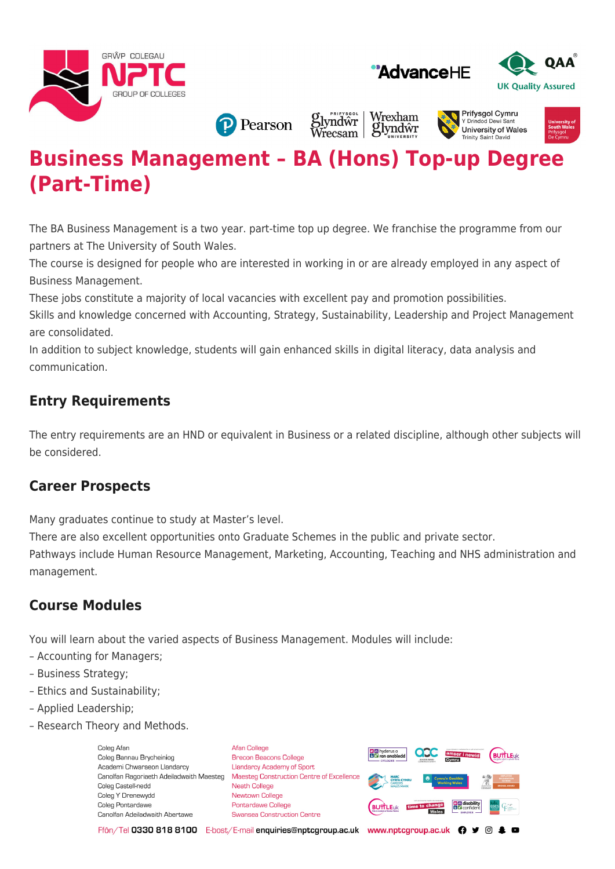





**P** Pearson

Wrexham **Slyndwr**<br>Wrecsam glyndŵr

#### **Prifysaol Cymru** Y Drindod Dew University of Wales **Trinity Saint David**



# **Business Management – BA (Hons) Top-up Degree (Part-Time)**

The BA Business Management is a two year. part-time top up degree. We franchise the programme from our partners at The University of South Wales.

The course is designed for people who are interested in working in or are already employed in any aspect of Business Management.

These jobs constitute a majority of local vacancies with excellent pay and promotion possibilities.

Skills and knowledge concerned with Accounting, Strategy, Sustainability, Leadership and Project Management are consolidated.

In addition to subject knowledge, students will gain enhanced skills in digital literacy, data analysis and communication.

# **Entry Requirements**

The entry requirements are an HND or equivalent in Business or a related discipline, although other subjects will be considered.

### **Career Prospects**

Many graduates continue to study at Master's level.

There are also excellent opportunities onto Graduate Schemes in the public and private sector.

Pathways include Human Resource Management, Marketing, Accounting, Teaching and NHS administration and management.

## **Course Modules**

You will learn about the varied aspects of Business Management. Modules will include:

- Accounting for Managers;
- Business Strategy;
- Ethics and Sustainability;
- Applied Leadership;
- Research Theory and Methods.

Coleg Afar Coleg Bannau Brycheiniog Academi Chwaraeon Llandarcy Canolfan Ragoriaeth Adeiladwaith Maesteg Coleg Castell-nedd Coleg Y Drenewydd Coleg Pontardawe Canolfan Adeiladwaith Abertawe

**Afan College** Brecon Beacons College **Llandarcy Academy of Sport** Maesteg Construction Centre of Excellence Neath College Newtown College **Pontardawe College** Swansea Construction Centre



Ffôn/Tel 0330 818 8100 E-bost/E-mail enquiries@nptcgroup.ac.uk www.nptcgroup.ac.uk ? • © \$